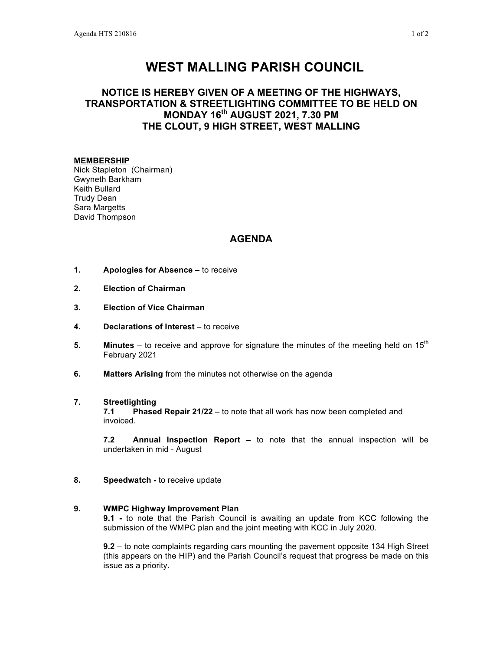# **WEST MALLING PARISH COUNCIL**

## **NOTICE IS HEREBY GIVEN OF A MEETING OF THE HIGHWAYS, TRANSPORTATION & STREETLIGHTING COMMITTEE TO BE HELD ON MONDAY 16th AUGUST 2021, 7.30 PM THE CLOUT, 9 HIGH STREET, WEST MALLING**

#### **MEMBERSHIP**

Nick Stapleton (Chairman) Gwyneth Barkham Keith Bullard Trudy Dean Sara Margetts David Thompson

### **AGENDA**

- **1. Apologies for Absence –** to receive
- **2. Election of Chairman**
- **3. Election of Vice Chairman**
- **4. Declarations of Interest** to receive
- **5. Minutes** to receive and approve for signature the minutes of the meeting held on 15<sup>th</sup> February 2021
- **6. Matters Arising** from the minutes not otherwise on the agenda

#### **7. Streetlighting**

**7.1 Phased Repair 21/22** – to note that all work has now been completed and invoiced.

**7.2 Annual Inspection Report –** to note that the annual inspection will be undertaken in mid - August

**8. Speedwatch -** to receive update

#### **9. WMPC Highway Improvement Plan**

**9.1 -** to note that the Parish Council is awaiting an update from KCC following the submission of the WMPC plan and the joint meeting with KCC in July 2020.

**9.2** – to note complaints regarding cars mounting the pavement opposite 134 High Street (this appears on the HIP) and the Parish Council's request that progress be made on this issue as a priority.